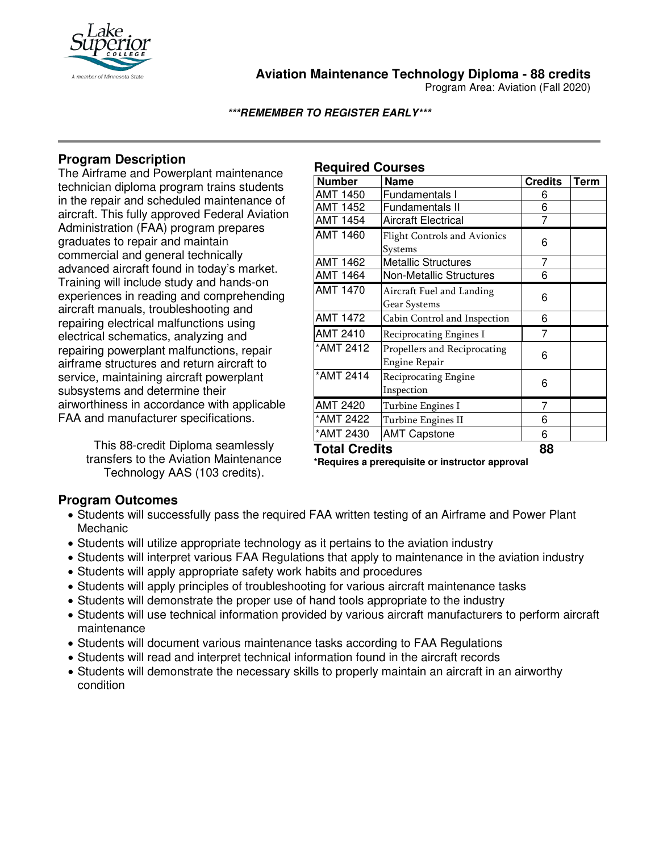

**Aviation Maintenance Technology Diploma - 88 credits**

Program Area: Aviation (Fall 2020)

**\*\*\*REMEMBER TO REGISTER EARLY\*\*\***

# **Program Description**

The Airframe and Powerplant maintenance technician diploma program trains students in the repair and scheduled maintenance of aircraft. This fully approved Federal Aviation Administration (FAA) program prepares graduates to repair and maintain commercial and general technically advanced aircraft found in today's market. Training will include study and hands-on experiences in reading and comprehending aircraft manuals, troubleshooting and repairing electrical malfunctions using electrical schematics, analyzing and repairing powerplant malfunctions, repair airframe structures and return aircraft to service, maintaining aircraft powerplant subsystems and determine their airworthiness in accordance with applicable FAA and manufacturer specifications.

> This 88-credit Diploma seamlessly transfers to the Aviation Maintenance Technology AAS (103 credits).

### **Required Courses**

| <b>Number</b>        | <b>Name</b>                         | <b>Credits</b> | <b>Term</b> |
|----------------------|-------------------------------------|----------------|-------------|
| AMT 1450             | Fundamentals I                      | 6              |             |
| <b>AMT 1452</b>      | Fundamentals II                     | 6              |             |
| <b>AMT 1454</b>      | <b>Aircraft Electrical</b>          | 7              |             |
| <b>AMT 1460</b>      | <b>Flight Controls and Avionics</b> |                |             |
|                      | Systems                             | 6              |             |
| <b>AMT 1462</b>      | <b>Metallic Structures</b>          | 7              |             |
| <b>AMT 1464</b>      | <b>Non-Metallic Structures</b>      | 6              |             |
| <b>AMT 1470</b>      | Aircraft Fuel and Landing           |                |             |
|                      | Gear Systems                        | 6              |             |
| <b>AMT 1472</b>      | Cabin Control and Inspection        | 6              |             |
| <b>AMT 2410</b>      | Reciprocating Engines I             | 7              |             |
| *AMT 2412            | Propellers and Reciprocating        |                |             |
|                      | Engine Repair                       | 6              |             |
| *AMT 2414            | Reciprocating Engine                |                |             |
|                      | Inspection                          | 6              |             |
| <b>AMT 2420</b>      | Turbine Engines I                   | 7              |             |
| *AMT 2422            | Turbine Engines II                  | 6              |             |
| *AMT 2430            | <b>AMT Capstone</b>                 | 6              |             |
| <b>Total Credits</b> |                                     | 88             |             |

**\*Requires a prerequisite or instructor approval**

## **Program Outcomes**

- Students will successfully pass the required FAA written testing of an Airframe and Power Plant Mechanic
- Students will utilize appropriate technology as it pertains to the aviation industry
- Students will interpret various FAA Regulations that apply to maintenance in the aviation industry
- Students will apply appropriate safety work habits and procedures
- Students will apply principles of troubleshooting for various aircraft maintenance tasks
- Students will demonstrate the proper use of hand tools appropriate to the industry
- Students will use technical information provided by various aircraft manufacturers to perform aircraft maintenance
- Students will document various maintenance tasks according to FAA Regulations
- Students will read and interpret technical information found in the aircraft records
- Students will demonstrate the necessary skills to properly maintain an aircraft in an airworthy condition